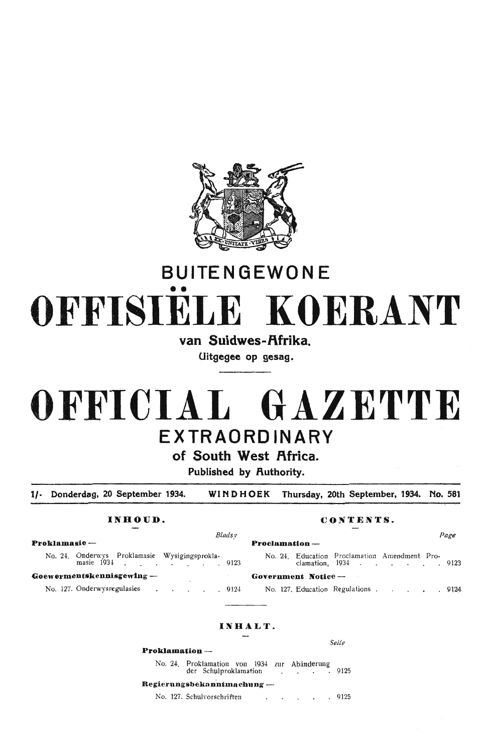

# **BUITENGEWON** E •• **OFFISIELE KOERANT**

van Suidwes-Afrika.

**Uitgegee op gesag.** 

# **OFFICIAL GAZETTE EXTRAORDINARY**

## of South West Africa.

**Published by Authority.** 

**1/-** Donderdag, 20 September 1934. WINDHOEK Thursday, 20th September, 1934. No. 581

### INHOUD. CONTENTS.

| Proklamasie ---                                                  | <b>Proclamation</b>                            |
|------------------------------------------------------------------|------------------------------------------------|
| No. 24. Onderwys Proklamasie Wysigingsprokla-<br>masie 1934 9123 | No. 24. Educ<br>clama                          |
| Goewermentskennisgewing -                                        | Government N                                   |
| $\mathbf{M} = 107$ Orderwings will get                           | $\mathbf{M} = 4\Delta H + \mathbf{L} \Delta H$ |

## No. 127. Onderwysregulasies

### *Bladsy Page*

| klamasie —                         |                                                                                                                                                                                                                               |  |  |  |  |                      |      | $Preclamation —$ |  |                                                                       |  |  |  |      |
|------------------------------------|-------------------------------------------------------------------------------------------------------------------------------------------------------------------------------------------------------------------------------|--|--|--|--|----------------------|------|------------------|--|-----------------------------------------------------------------------|--|--|--|------|
|                                    | No. 24. Onderwys Proklamasie Wysigingsprokla-<br>masie 1934 9123                                                                                                                                                              |  |  |  |  |                      |      |                  |  | No. 24. Education Proclamation Amendment Pro-<br>clamation, 1934 9123 |  |  |  |      |
| ew <b>ermentskennisgewin</b> g --- |                                                                                                                                                                                                                               |  |  |  |  | Government Notice -- |      |                  |  |                                                                       |  |  |  |      |
|                                    | No. 127. Onderwysregulasies and a control of the control of the control of the control of the control of the control of the control of the control of the control of the control of the control of the control of the control |  |  |  |  |                      | 9124 |                  |  | No. 127, Education Regulations                                        |  |  |  | 9124 |

## **I N HALT.**

**P·roklmnation** -

No. 24. Proklamation von 1934 zur Abänderung<br>der Schulproklamation (in 1919) der Schulproklamation 91 zur Kounge

#### **Regi e rnng·sbeka n.ntn1acbnng** -

No. 127. Schulvorschriften . . . . . . 912

Seife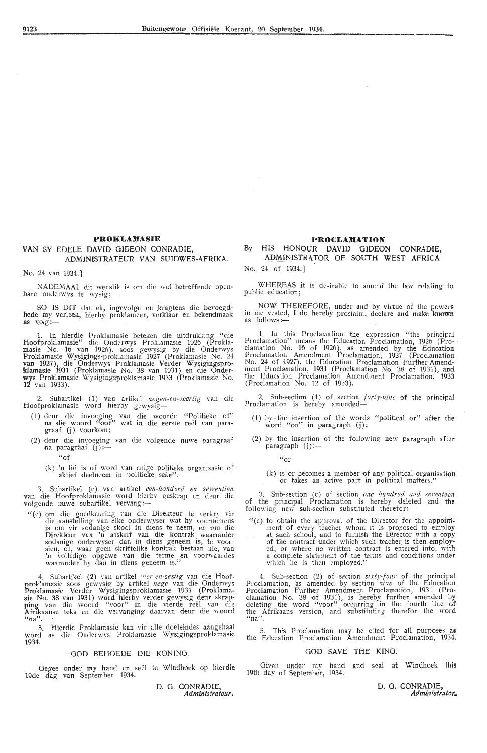#### **PROKLAJIASIE**

#### **VAN** SY EDELE DAVID GIDEON CONRADIE, ADMINISTRATEUR VAN SUIDWES-AFRIKA.

No. 24 van 1934.)

NADEMAAL dit wenslik is om die wet betreffende openbare onderwys te wysig;

SO IS DIT dat ek, ingevolge en kragtens die bevoegd- hede my verleen, hierby proklameer, verklaar en bekendmaak as volg:-

1. In hierdie Proklamasie beteken die uitdrukking "die Hoofproklamasie" die Onderwys Proklamasie 1926 (Prokla- masie No. 16 van 1926), soos gewysig by die Onderwys Proklamasie Wysigings-proklamasie 1927 (Proklamasie No. 24 van 1927), die Onderwys Proklamasie Verder Wysigingsproklamasie 1931 (Proklamasie No. 38 van 1931) en die Onderwys Proklamasie Wysigingsproklamasie 1933 (Proklamasie No. **12** van 1933).

2. Subartikel (1) van artikel *negen-en-veertig* van die Hoofproklamasie word hierby gewysig-

- (1) deur die invoeging van die woorde "Politieke of" na die woord "oor" wat in die eerste reël van paragraaf (j) voorkom;
- (2) deur die invoeging van die volgende nuwe paragraaf na paragraaf (j):--
	- $``of$
	- (k) 'n lid is of word van enige politieke organisasie of aktief deelneem in politieke sake".

3. Subartikel (c) van artikel een-honderd en sewentien van die Hoofproklamasie word hierby geskrap en deur die<br>volgende nuwe subartikel vervang:—

"(c) om di,e goedkeuring van die Direkteur te verkry vir die aanstelling van elke onderwyser wat hy voomemens is om \_vir sodanige skool in diens te neem, en om die Direkteur van 'n afskrif van die kontrak waaronder sodanige onderwyser dan in diens geneem is, te voor-<br>sien, of, waar geen skriftelike kontrak bestaan nie, van<br>'n volledige opgawe van die terme en voorwaardes waaronder hy dan in diens geneem is."

4. Subartikel (2) van artikel *vier-en-sestig* van die Hoofproklamasie soos gewysig by artikel *nege* van die Onderwys Proklamasie Verder Wysigingsproklamasie 1931 (Proklamasie No. 38 van 1931) word hierby verder gewysig deur skrapping van die woord "voor" in die vierde reël van die<br>Afrikaanse teks en die vervanging daarvan deur die woord "na".

5. Hierdie Proklamasie kan vir alle doeleindes aangehaal word as die Onderwys Proklamasie Wysigingsproklamasie 1934.

#### GOD BEHOEDE DIE KONING.

Gegee onder my hand en seël te Windhoek op hierdie 19de dag van September 1934.

> D. G. CONRADIE, *Administrateur.*

#### **PROCLAMATION**

#### By HIS HONOUR DAVID GIDEON CONRADIE, ADMINISTRATOR OF SOUTH WEST AFRICA

No. 24 of 1934.]

WHEREAS it is desirable to amend the law relating to public education;

NOW THEREFORE, under and by virtue of the powers in me vested, I do hereby proclaim, declare and make known as follows:-

1. In this Proclamation the expression "the principal Proclamation" means the Education Proclamation, 1926 (Pro- - clamation No. 16 of 1926), as amended by the Education Proclamation Amendment Proclamation, 1927 (Proclamation 24 of 1927), the Education Proclamation Further Amendment Proclamation, 1931 (Proclamation No. 38 of 1931), and the Education Proclamation Amendment Proclamation, 1933 (Proclamation No. 12 of 1933).

2. Sub-section (1) of. section *forty-nine* of the principal Proclamation is hereby amended-

- $(1)$  by the insertion of the words "political or" after the word "on" in paragraph (j);
- (2) by the insertion of the following new paragraph after  $\text{param}$   $(i)$  :-

 $''$ or

(k) is or becomes a member of any political organisation or takes an active part in political matters."

3. Sub-section (c) of section *one hundred and seventeen* of the principal Proclamation is hereby deleted and the following new sub-section substituted therefor:-

 $"$ (c) to obtain the approval of the Director for the appointment of every teacher whom it is proposed to employ at such school, and to furnish the Director with a copy of the contract under which such teacher is then employed, or where no written contract is entered into, with a complete statement of the terms and conditions under a complete statement of the terms and conditions under<br>which he is then employed."

4. Sub-section (2) of section *sixty-four* of the principal Proclamation, as amended by section *nine* of the Education Proclamation Further Amendment. Proclamation, 1931 (Pro- clamation No. 38 of 1931), is hereby further amended by deleting the word "voor" occurring in the fourth line of the Afrikaans version, and substituting therefor the word  $n<sub>n</sub>$ ".

5. This Proclamation may be cited for all purposes **as**  the Education Proclamation Amendment Proclamation, 1934.

### 'GOD SAVE THE KING.

Given under my hand and seal at Windhoek this 19th day of September, 1934.

D. G. CONRADIE,

*Admi,,istrato.r ..*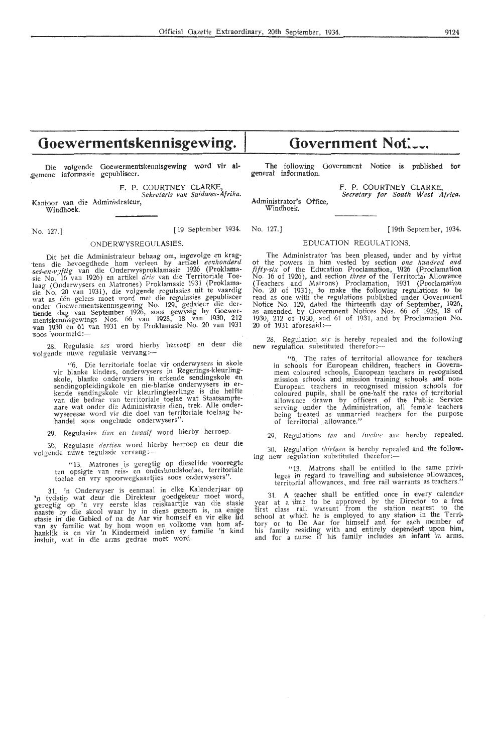## **Goewermentskennisgewing.**

Die volgende Goewermentskennisgewing word vir algemene informasie gepubliseer.

F. P. COURTNEY CLARKE, *Sekretaris van Suidwes-Af rika.*  Kantoor van die Administrateur,

Windhoek.

#### ONDERWYSREOULASIES.

Dit het die Administrateur behaag om, ingevolge en krag-<br>tens die bevoegdhede hom verleen by artikel eenhonderd<br>ses-en-vyftig van die Onderwysproklamasie 1926 (Proklama-<br>sie No. 16 van 1926) en artikel drie van die Territ wat as één gelees moet word met die regulasies gepubliseer<br>onder Goewermentskennisgewing No. 129, gedateer die dertiende dag van September 1926, soos gewysig by Goewermentskennisgewings Nos. 66 van 1928, 18 van 1930, 212<br>van 1930 en 61 van 1931 en by Proklamasie No. 20 van 1931 van 1930 en 61 v<br>soos voormeld:—

28. Regulasie *ses* word hierby herroep en deur die volgende nuwe regulasie vervang:-

"6. Die territoriale toelae vir onderwyser3 in skole <sup>to</sup>. Die territoriale toeiae vir olderwysers in Regerings-kleurling-<br>skole, blanke kinders, onderwysers in erkende sendingspleidingskole en<br>sendingopleidingskole en nie-blanke onderwysers in er-<br>kende sendingskole vir kle wyseresse word vir die doel van territoriale toelaag behandel soos ongehude onderwysers".

29. Regulasies tien en twaalf word hierby herroep.

30. Regulasie dertien word hierby herroep en deur die volgende nuwe regulasie vervang:

"13. Matrones is geregtig op dieselfde voorregte ten opsigte van reis- en onderhoudstoelae, territoriale toelae en vry spoorwegkaartjies soos onderwysers'

31. 'n Onderwyser is eenmaal in elke Kalenderjaar op '<sub>'</sub>n tydstip wat deur die Direkteur goedgekeur moet word,<br>geregtig op 'n vry eerste klas reiskaartjie van die stasie maaste by die skool waar hy in diens geneem is, na enige<br>stasie in die Gebied of na de Aar vir homself en vir elke lid<br>van sy familie wat by hom woon en volkome van hom afhanklik is en vir 'n Kindermeid indien sy familie 'n kind insluit, wat in die arms gedrae moet word.

## Government Not:

The following Government Notice is published for general information.

Administrator's Office, Windhoek.

F. P. COURTNEY CLARKE Secretary for South West Africa.

No. 127.] [19 September 1934. No. 127.) [ 19th September, 1934.

#### EDUCATION REGULATIONS.

The Administrator has been pleased, under and by virtue of the powers in him vested by section *one hundred and fifty-six* of the Education Proclamation, 1926 (Proclamation<br>No. 16 of 1926), and section *three* of the Territorial Allowance (Teachers and Matrons) Proclamation, 1931 (Proclamation<br>No. 20 of 1931), to make the following regulations to be read as one with the regulations published under Government Notice No. 129, dated the thirteenth day of September, 1926, as amended by Oovernment Notices Nos. 66 of 1928, 18 of 1930, 212 of 1930, and 61 of 1931, and by Proclamation No.  $20$  of 1931 aforesaid: $-$ 

28. Regulation *six* is hereby repealed and the following new regulation substituted therefor:---

"6. The rates of territorial allowance for teachers in schools for European children, teachers in Government coloured schools, European teachers in recognised mission schools and mission training schools and non-<br>European teachers in recognised mission schools for<br>coloured pupils, shall be one-half the rates of territorial<br>allowance drawn by officers of the Public Service serving under the Administration, all female teachers<br>being treated as unmarried teachers for the purpose of territorial allowance."

29. Regulations ten and twelve are hereby repealed.

30. Regulation thirteen is hereby repealed and the following new regulation substituted therefor:-

"13. Matrons shall be entitled to the same privileges in regard to travelling and subsistence allowances, territorial allowances, and free rail warrants as teachers."

31. A teacher shall be entitled once in every calendar year at a time to be approved by the Director to a free first class rail warrant from the station nearest to the school at which he is employed to any station in the Territory or to De Aar for himself and for each member of his family residing with and entirely dependent upon him, and for a nurse if his family includes an infant in arms.